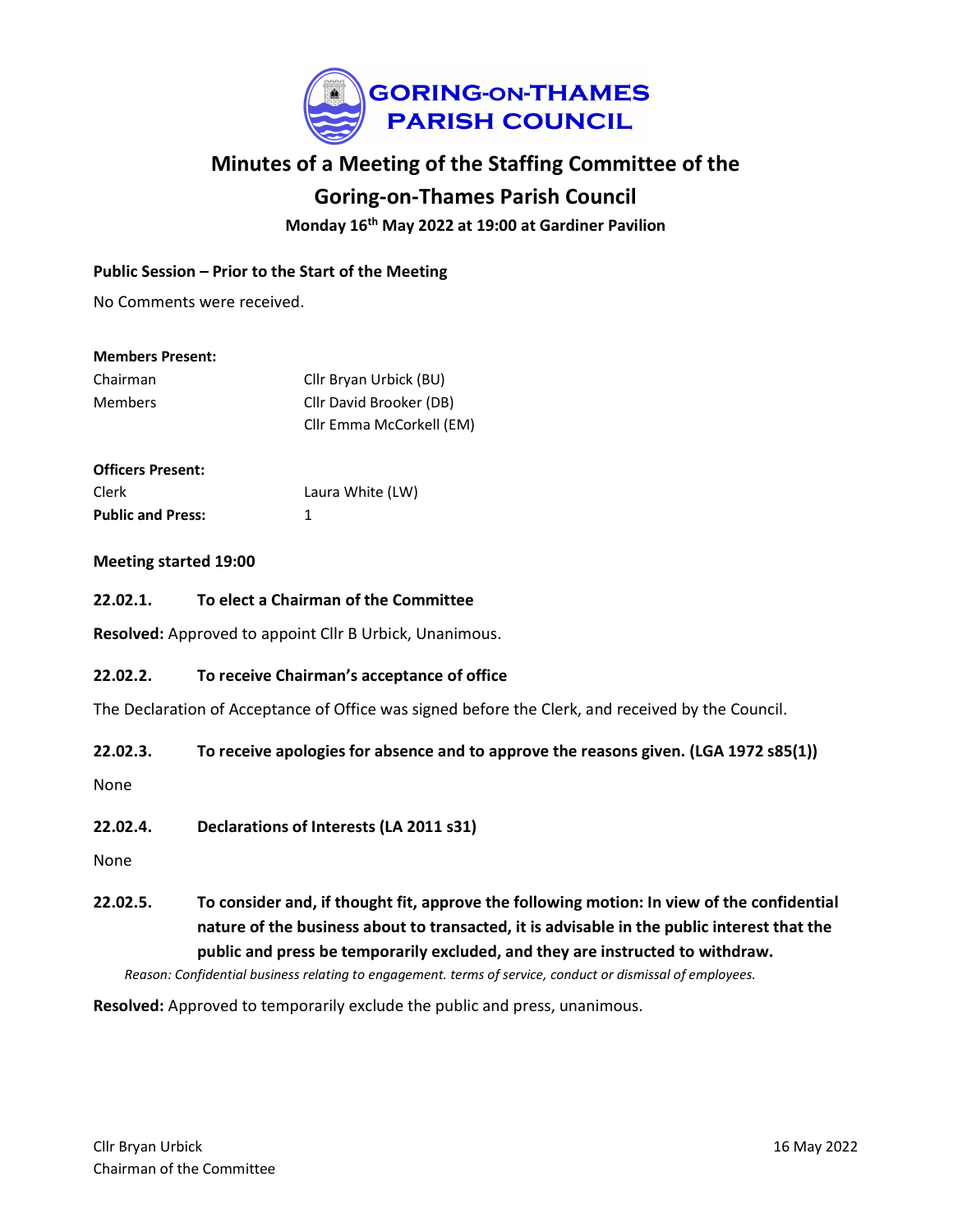

# Minutes of a Meeting of the Staffing Committee of the

## Goring-on-Thames Parish Council

Monday 16th May 2022 at 19:00 at Gardiner Pavilion

#### Public Session – Prior to the Start of the Meeting

No Comments were received.

#### Members Present:

| Chairman       | Cllr Bryan Urbick (BU)   |
|----------------|--------------------------|
| <b>Members</b> | Cllr David Brooker (DB)  |
|                | Cllr Emma McCorkell (EM) |

#### Officers Present:

| Clerk                    | Laura White (LW) |
|--------------------------|------------------|
| <b>Public and Press:</b> |                  |

#### Meeting started 19:00

22.02.1. To elect a Chairman of the Committee

Resolved: Approved to appoint Cllr B Urbick, Unanimous.

#### 22.02.2. To receive Chairman's acceptance of office

The Declaration of Acceptance of Office was signed before the Clerk, and received by the Council.

#### 22.02.3. To receive apologies for absence and to approve the reasons given. (LGA 1972 s85(1))

None

#### 22.02.4. Declarations of Interests (LA 2011 s31)

None

22.02.5. To consider and, if thought fit, approve the following motion: In view of the confidential nature of the business about to transacted, it is advisable in the public interest that the public and press be temporarily excluded, and they are instructed to withdraw.

Reason: Confidential business relating to engagement. terms of service, conduct or dismissal of employees.

Resolved: Approved to temporarily exclude the public and press, unanimous.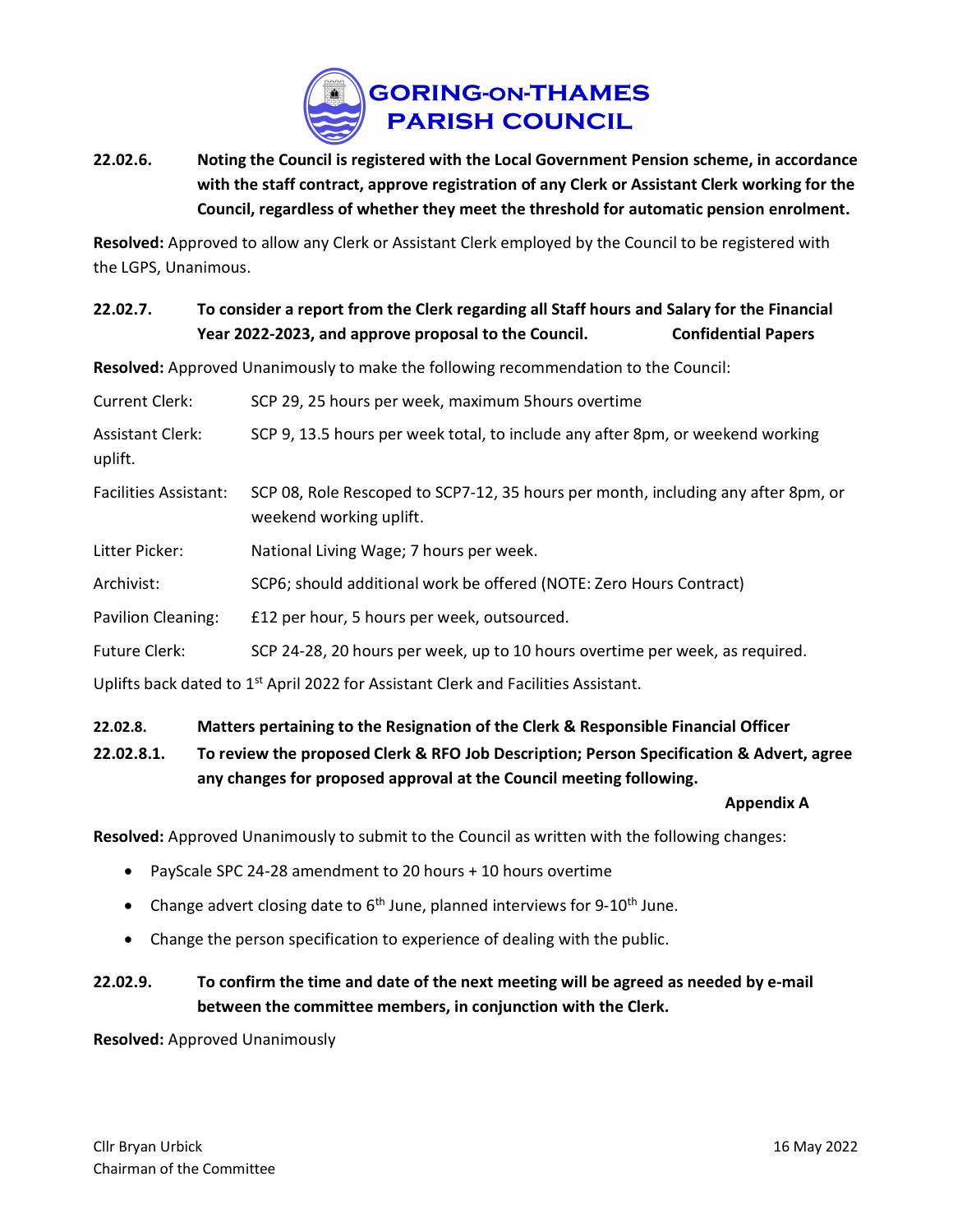

22.02.6. Noting the Council is registered with the Local Government Pension scheme, in accordance with the staff contract, approve registration of any Clerk or Assistant Clerk working for the Council, regardless of whether they meet the threshold for automatic pension enrolment.

Resolved: Approved to allow any Clerk or Assistant Clerk employed by the Council to be registered with the LGPS, Unanimous.

### 22.02.7. To consider a report from the Clerk regarding all Staff hours and Salary for the Financial Year 2022-2023, and approve proposal to the Council. Confidential Papers

Resolved: Approved Unanimously to make the following recommendation to the Council:

| Current Clerk: .            | SCP 29, 25 hours per week, maximum 5 hours overtime                            |
|-----------------------------|--------------------------------------------------------------------------------|
| Assistant Clerk:<br>uplift. | SCP 9, 13.5 hours per week total, to include any after 8pm, or weekend working |
| _                           |                                                                                |

Facilities Assistant: SCP 08, Role Rescoped to SCP7-12, 35 hours per month, including any after 8pm, or weekend working uplift.

Litter Picker: National Living Wage; 7 hours per week.

Archivist: SCP6; should additional work be offered (NOTE: Zero Hours Contract)

Pavilion Cleaning: £12 per hour, 5 hours per week, outsourced.

Future Clerk: SCP 24-28, 20 hours per week, up to 10 hours overtime per week, as required.

Uplifts back dated to 1<sup>st</sup> April 2022 for Assistant Clerk and Facilities Assistant.

### 22.02.8. Matters pertaining to the Resignation of the Clerk & Responsible Financial Officer

### 22.02.8.1. To review the proposed Clerk & RFO Job Description; Person Specification & Advert, agree any changes for proposed approval at the Council meeting following.

#### Appendix A

Resolved: Approved Unanimously to submit to the Council as written with the following changes:

- PayScale SPC 24-28 amendment to 20 hours + 10 hours overtime
- Change advert closing date to  $6<sup>th</sup>$  June, planned interviews for 9-10<sup>th</sup> June.
- Change the person specification to experience of dealing with the public.

### 22.02.9. To confirm the time and date of the next meeting will be agreed as needed by e-mail between the committee members, in conjunction with the Clerk.

Resolved: Approved Unanimously